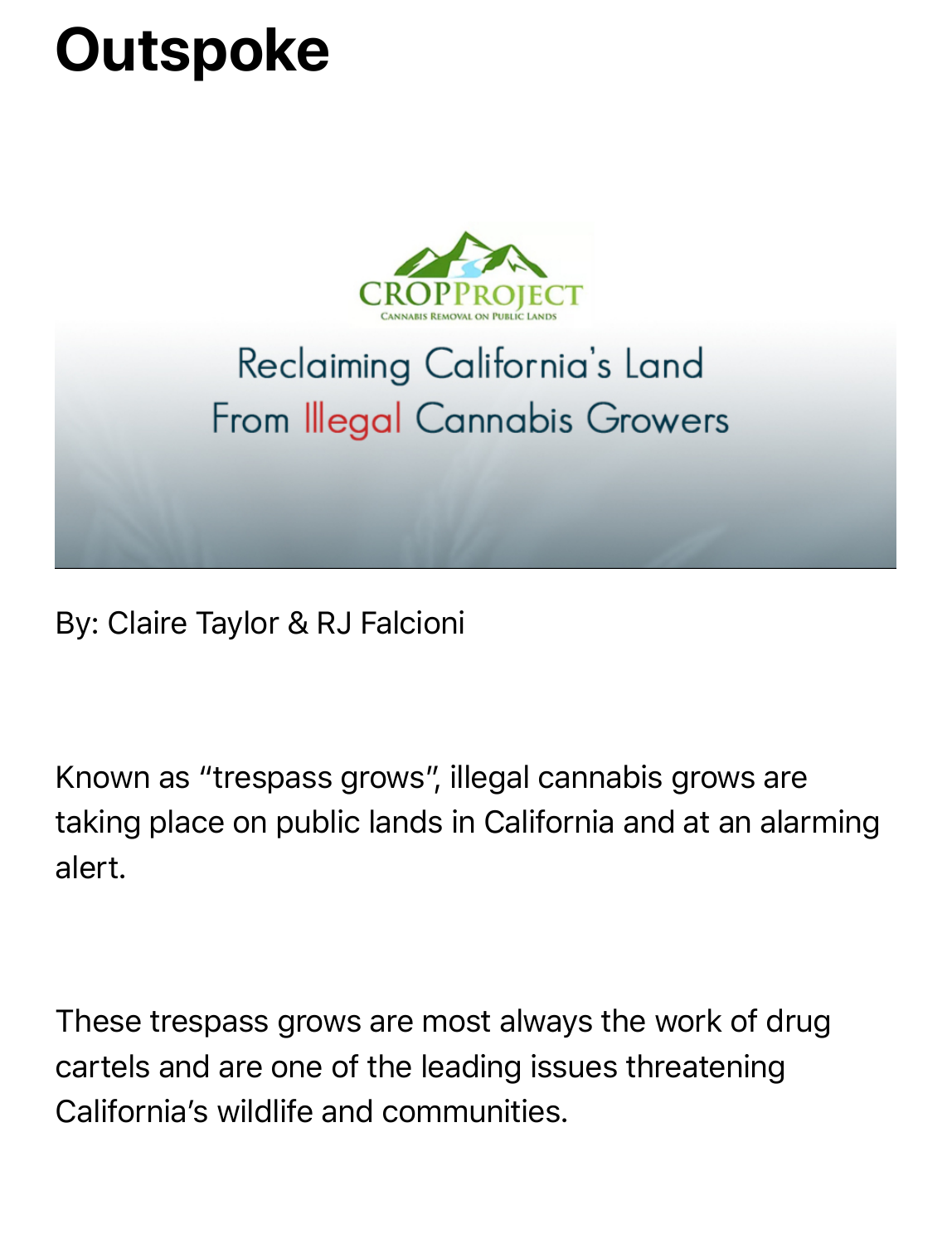## **Outspoke**



## Reclaiming California's Land From Illegal Cannabis Growers

By: Claire Taylor & RJ Falcioni

Known as "trespass grows", illegal cannabis grows are taking place on public lands in California and at an alarming alert.

These trespass grows are most always the work of drug cartels and are one of the leading issues threatening California's wildlife and communities.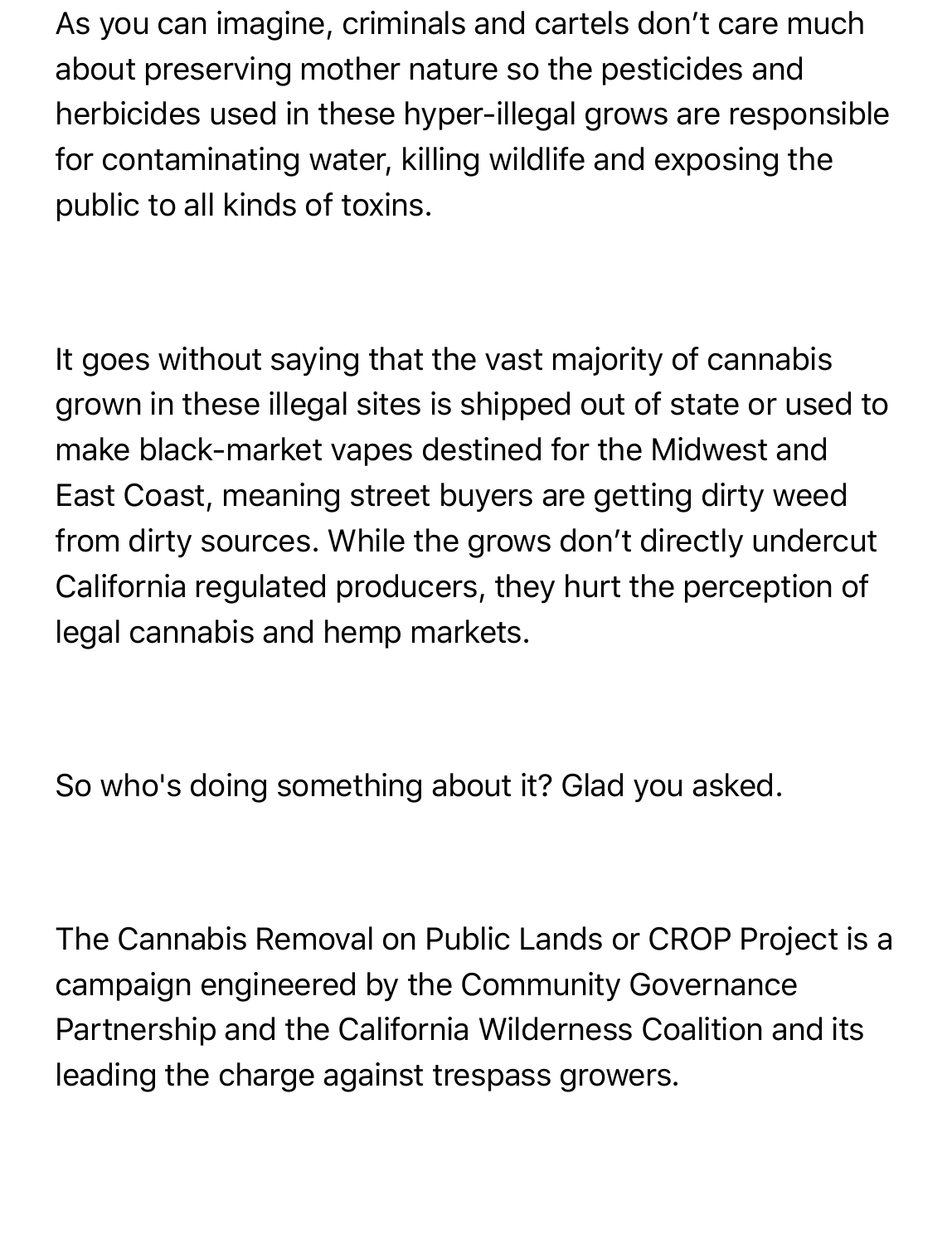As you can imagine, criminals and cartels don't care much about preserving mother nature so the pesticides and herbicides used in these hyper-illegal grows are responsible for contaminating water, killing wildlife and exposing the public to all kinds of toxins.

It goes without saying that the vast majority of cannabis grown in these illegal sites is shipped out of state or used to make black-market vapes destined for the Midwest and East Coast, meaning street buyers are getting dirty weed from dirty sources. While the grows don't directly undercut California regulated producers, they hurt the perception of legal cannabis and hemp markets.

So who's doing something about it? Glad you asked.

The Cannabis Removal on Public Lands or CROP Project is a campaign engineered by the Community Governance Partnership and the California Wilderness Coalition and its leading the charge against trespass growers.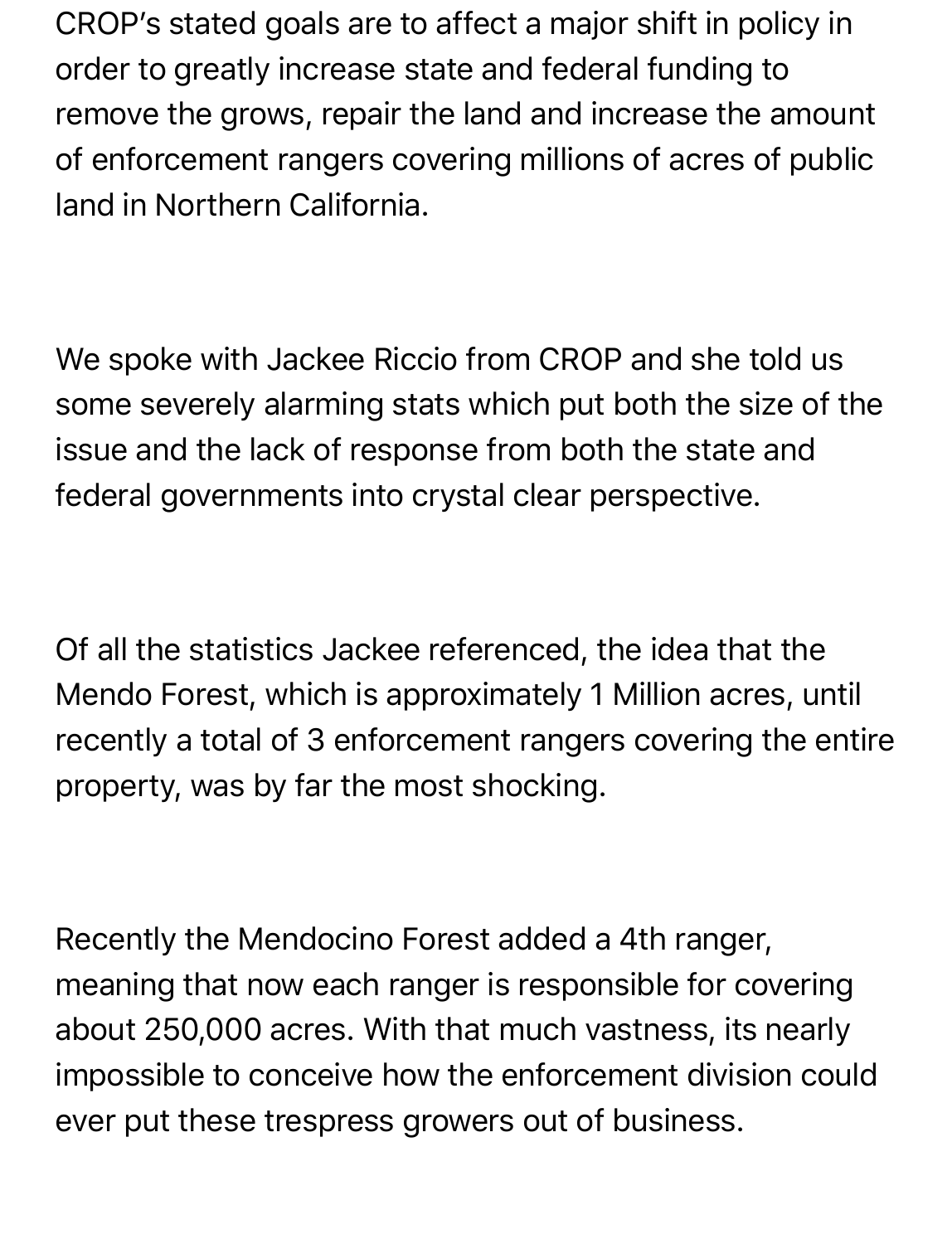CROP's stated goals are to affect a major shift in policy in order to greatly increase state and federal funding to remove the grows, repair the land and increase the amount of enforcement rangers covering millions of acres of public land in Northern California.

We spoke with Jackee Riccio from CROP and she told us some severely alarming stats which put both the size of the issue and the lack of response from both the state and federal governments into crystal clear perspective.

Of all the statistics Jackee referenced, the idea that the Mendo Forest, which is approximately 1 Million acres, until recently a total of 3 enforcement rangers covering the entire property, was by far the most shocking.

Recently the Mendocino Forest added a 4th ranger, meaning that now each ranger is responsible for covering about 250,000 acres. With that much vastness, its nearly impossible to conceive how the enforcement division could ever put these trespress growers out of business.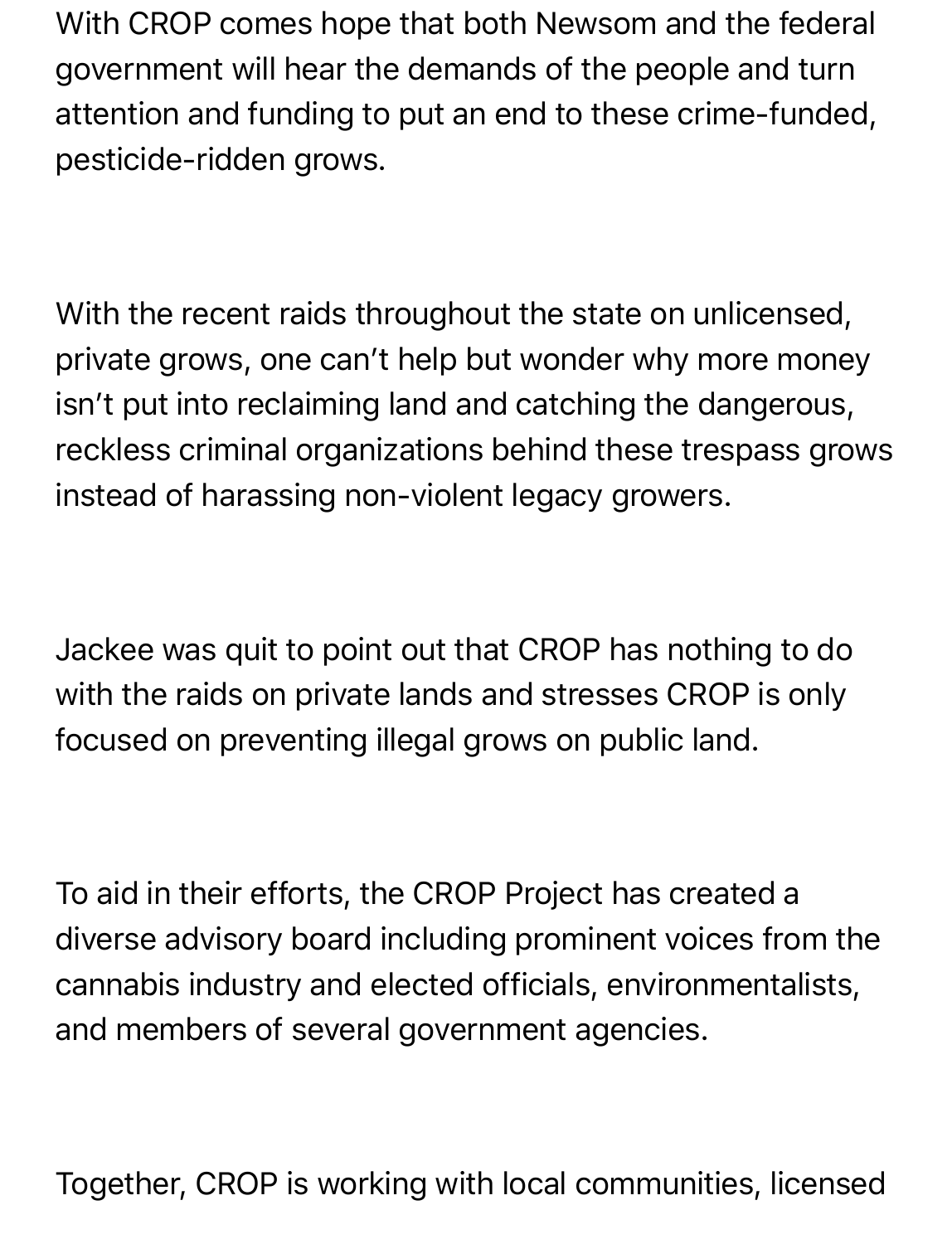With CROP comes hope that both Newsom and the federal government will hear the demands of the people and turn attention and funding to put an end to these crime-funded, pesticide-ridden grows.

With the recent raids throughout the state on unlicensed, private grows, one can't help but wonder why more money isn't put into reclaiming land and catching the dangerous, reckless criminal organizations behind these trespass grows instead of harassing non-violent legacy growers.

Jackee was quit to point out that CROP has nothing to do with the raids on private lands and stresses CROP is only focused on preventing illegal grows on public land.

To aid in their efforts, the CROP Project has created a diverse advisory board including prominent voices from the cannabis industry and elected officials, environmentalists, and members of several government agencies.

Together, CROP is working with local communities, licensed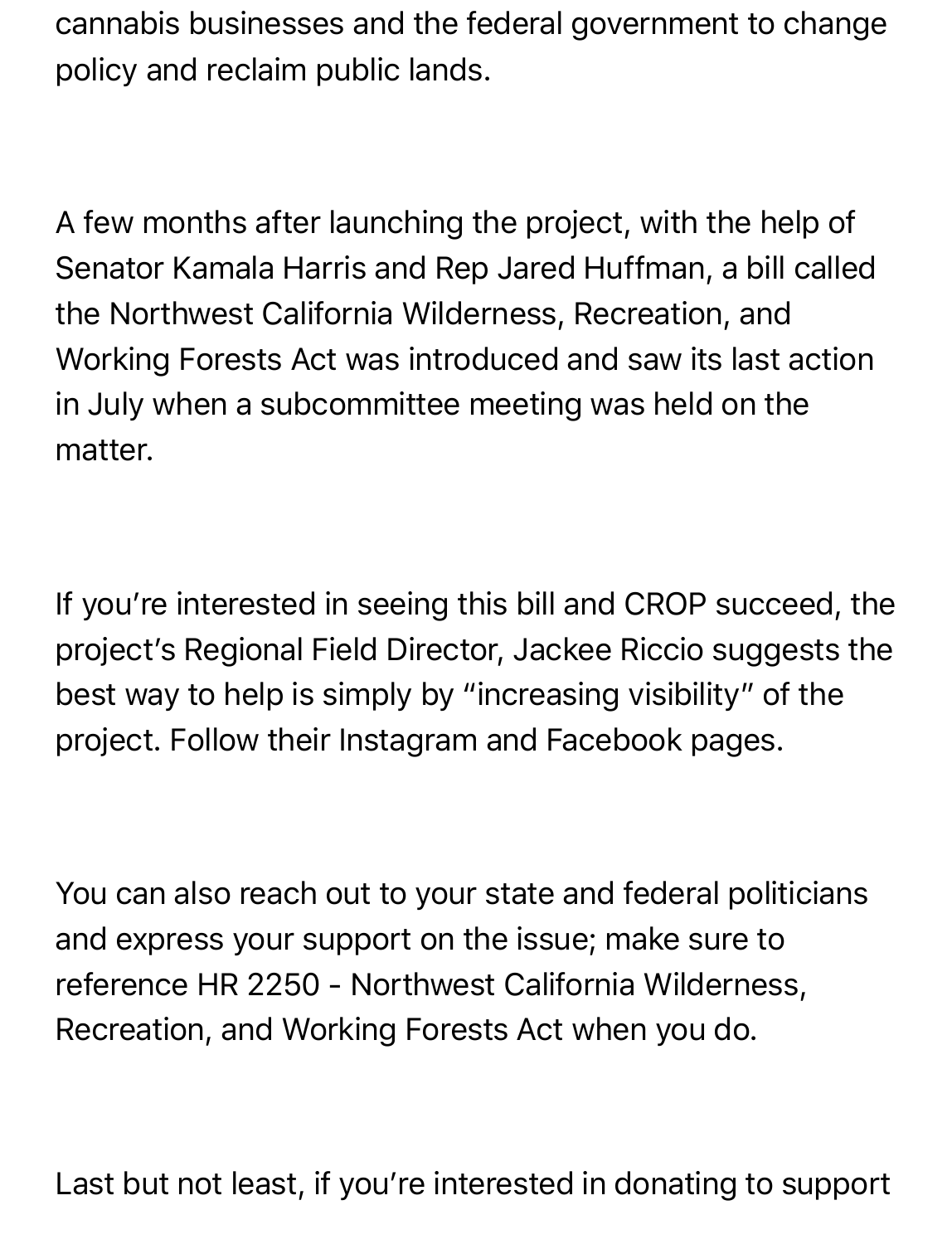cannabis businesses and the federal government to change policy and reclaim public lands.

A few months after launching the project, with the help of Senator Kamala Harris and Rep Jared Huffman, a bill called the Northwest California Wilderness, Recreation, and Working Forests Act was introduced and saw its last action in July when a subcommittee meeting was held on the matter.

If you're interested in seeing this bill and CROP succeed, the project's Regional Field Director, Jackee Riccio suggests the best way to help is simply by "increasing visibility" of the project. Follow their Instagram and Facebook pages.

You can also reach out to your state and federal politicians and express your support on the issue; make sure to reference HR 2250 - Northwest California Wilderness, Recreation, and Working Forests Act when you do.

Last but not least, if you're interested in donating to support